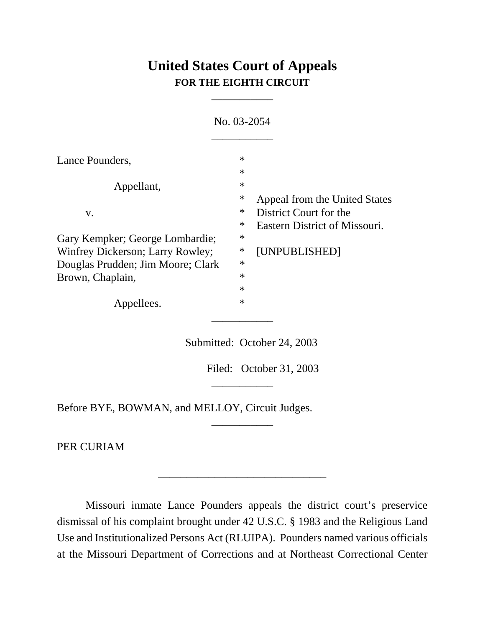## **United States Court of Appeals FOR THE EIGHTH CIRCUIT**

\_\_\_\_\_\_\_\_\_\_\_

|                                                                     | No. 03-2054      |                                                                                          |
|---------------------------------------------------------------------|------------------|------------------------------------------------------------------------------------------|
| Lance Pounders,                                                     | $\ast$<br>$\ast$ |                                                                                          |
| Appellant,                                                          | $\ast$           |                                                                                          |
| V.                                                                  | ∗<br>$\ast$<br>∗ | Appeal from the United States<br>District Court for the<br>Eastern District of Missouri. |
| Gary Kempker; George Lombardie;<br>Winfrey Dickerson; Larry Rowley; | ∗<br>∗           | [UNPUBLISHED]                                                                            |
| Douglas Prudden; Jim Moore; Clark<br>Brown, Chaplain,               | $\ast$<br>$\ast$ |                                                                                          |
| Appellees.                                                          | $\ast$<br>$\ast$ |                                                                                          |

Submitted: October 24, 2003

\_\_\_\_\_\_\_\_\_\_\_

\_\_\_\_\_\_\_\_\_\_\_

\_\_\_\_\_\_\_\_\_\_\_\_\_\_\_\_\_\_\_\_\_\_\_\_\_\_\_\_\_\_

Filed: October 31, 2003

Before BYE, BOWMAN, and MELLOY, Circuit Judges.

PER CURIAM

Missouri inmate Lance Pounders appeals the district court's preservice dismissal of his complaint brought under 42 U.S.C. § 1983 and the Religious Land Use and Institutionalized Persons Act (RLUIPA). Pounders named various officials at the Missouri Department of Corrections and at Northeast Correctional Center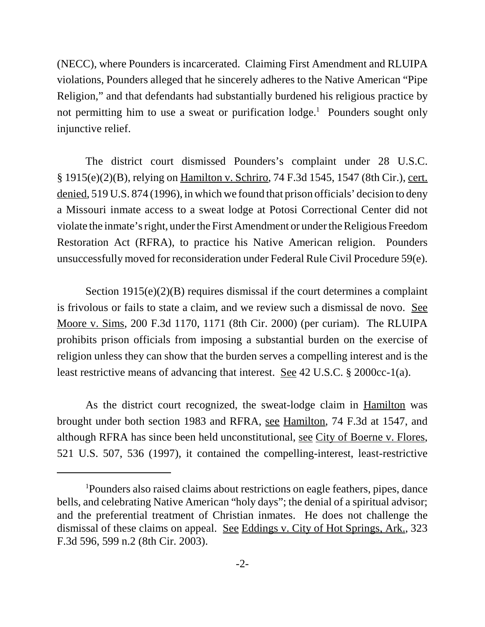(NECC), where Pounders is incarcerated. Claiming First Amendment and RLUIPA violations, Pounders alleged that he sincerely adheres to the Native American "Pipe Religion," and that defendants had substantially burdened his religious practice by not permitting him to use a sweat or purification lodge.<sup>1</sup> Pounders sought only injunctive relief.

The district court dismissed Pounders's complaint under 28 U.S.C. § 1915(e)(2)(B), relying on Hamilton v. Schriro, 74 F.3d 1545, 1547 (8th Cir.), cert. denied, 519 U.S. 874 (1996), in which we found that prison officials' decision to deny a Missouri inmate access to a sweat lodge at Potosi Correctional Center did not violate the inmate's right, under the First Amendment or under the Religious Freedom Restoration Act (RFRA), to practice his Native American religion. Pounders unsuccessfully moved for reconsideration under Federal Rule Civil Procedure 59(e).

Section 1915(e)(2)(B) requires dismissal if the court determines a complaint is frivolous or fails to state a claim, and we review such a dismissal de novo. See Moore v. Sims, 200 F.3d 1170, 1171 (8th Cir. 2000) (per curiam). The RLUIPA prohibits prison officials from imposing a substantial burden on the exercise of religion unless they can show that the burden serves a compelling interest and is the least restrictive means of advancing that interest. See 42 U.S.C. § 2000cc-1(a).

As the district court recognized, the sweat-lodge claim in Hamilton was brought under both section 1983 and RFRA, see Hamilton, 74 F.3d at 1547, and although RFRA has since been held unconstitutional, see City of Boerne v. Flores, 521 U.S. 507, 536 (1997), it contained the compelling-interest, least-restrictive

<sup>&</sup>lt;sup>1</sup>Pounders also raised claims about restrictions on eagle feathers, pipes, dance bells, and celebrating Native American "holy days"; the denial of a spiritual advisor; and the preferential treatment of Christian inmates. He does not challenge the dismissal of these claims on appeal. See Eddings v. City of Hot Springs, Ark., 323 F.3d 596, 599 n.2 (8th Cir. 2003).